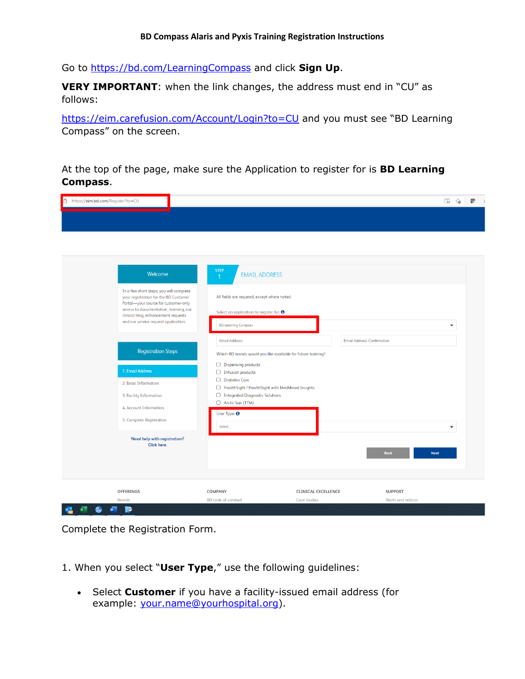Go to<https://bd.com/LearningCompass> and click **Sign Up**.

**VERY IMPORTANT**: when the link changes, the address must end in "CU" as follows:

<https://eim.carefusion.com/Account/Login?to=CU> and you must see "BD Learning Compass" on the screen.

At the top of the page, make sure the Application to register for is **BD Learning Compass**.

| https://eim.bd.com/Register?to=CU                                                |                                                       |                                                               | $\Box_0$<br>ౕం                    |
|----------------------------------------------------------------------------------|-------------------------------------------------------|---------------------------------------------------------------|-----------------------------------|
|                                                                                  |                                                       |                                                               |                                   |
|                                                                                  |                                                       |                                                               |                                   |
|                                                                                  |                                                       |                                                               |                                   |
|                                                                                  |                                                       |                                                               |                                   |
|                                                                                  |                                                       |                                                               |                                   |
|                                                                                  | <b>STEP</b>                                           |                                                               |                                   |
| Welcome                                                                          | <b>EMAIL ADDRESS</b><br>$\overline{1}$                |                                                               |                                   |
|                                                                                  |                                                       |                                                               |                                   |
| In a few short steps, you will complete<br>your registration for the BD Customer | All fields are required, except where noted.          |                                                               |                                   |
| Portal-your source for customer-only<br>access to documentation, learning, our   |                                                       |                                                               |                                   |
| clinical blog, enhancement requests                                              | Select an application to register for: $\Theta$       |                                                               |                                   |
| and our service request application.                                             | <b>BD Learning Compass</b>                            |                                                               | $\checkmark$                      |
|                                                                                  |                                                       |                                                               |                                   |
|                                                                                  | <b>Email Address</b>                                  |                                                               | <b>Email Address Confirmation</b> |
| <b>Registration Steps</b>                                                        |                                                       | Which BD brands would you like available for future training? |                                   |
|                                                                                  | Dispensing products                                   |                                                               |                                   |
| 1. Email Address                                                                 | <b>Infusion products</b>                              |                                                               |                                   |
| 2. Basic Information                                                             | Diabetes Care                                         |                                                               |                                   |
|                                                                                  | HealthSight / HealthSight with MedMined Insights      |                                                               |                                   |
| 3. Facility Information                                                          | □ Integrated Diagnostic Solutions<br>Arctic Sun (TTM) |                                                               |                                   |
| 4. Account Information                                                           |                                                       |                                                               |                                   |
| 5. Complete Registration                                                         | User Type: 0                                          |                                                               |                                   |
|                                                                                  | Select                                                |                                                               | $\blacktriangledown$              |
| <b>Need help with registration?</b>                                              |                                                       |                                                               |                                   |
| <b>Click here.</b>                                                               |                                                       |                                                               |                                   |
|                                                                                  |                                                       |                                                               | <b>Back</b><br><b>Next</b>        |
|                                                                                  |                                                       |                                                               |                                   |
|                                                                                  |                                                       |                                                               |                                   |
|                                                                                  |                                                       |                                                               |                                   |
| OFFERINGS                                                                        | COMPANY                                               | <b>CLINICAL EXCELLENCE</b>                                    | <b>SUPPORT</b>                    |
| Brands                                                                           | BD code of conduct                                    | Case studies                                                  | Alerts and notices                |

Complete the Registration Form.

1. When you select "**User Type**," use the following guidelines:

• Select **Customer** if you have a facility-issued email address (for example: [your.name@yourhospital.org\)](mailto:your.name@yourhospital.org).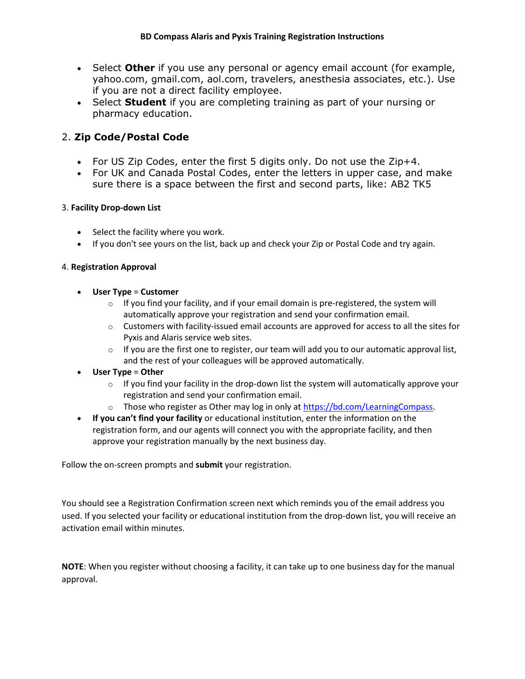- Select **Other** if you use any personal or agency email account (for example, yahoo.com, gmail.com, aol.com, travelers, anesthesia associates, etc.). Use if you are not a direct facility employee.
- Select **Student** if you are completing training as part of your nursing or pharmacy education.

# 2. **Zip Code/Postal Code**

- For US Zip Codes, enter the first 5 digits only. Do not use the Zip+4.
- For UK and Canada Postal Codes, enter the letters in upper case, and make sure there is a space between the first and second parts, like: AB2 TK5

# 3. **Facility Drop-down List**

- Select the facility where you work.
- If you don't see yours on the list, back up and check your Zip or Postal Code and try again.

## 4. **Registration Approval**

- **User Type** = **Customer**
	- $\circ$  If you find your facility, and if your email domain is pre-registered, the system will automatically approve your registration and send your confirmation email.
	- $\circ$  Customers with facility-issued email accounts are approved for access to all the sites for Pyxis and Alaris service web sites.
	- $\circ$  If you are the first one to register, our team will add you to our automatic approval list, and the rest of your colleagues will be approved automatically.
- **User Type** = **Other**
	- $\circ$  If you find your facility in the drop-down list the system will automatically approve your registration and send your confirmation email.
	- $\circ$  Those who register as Other may log in only at [https://bd.com/LearningCompass.](https://bd.com/LearningCompass)
- **If you can't find your facility** or educational institution, enter the information on the registration form, and our agents will connect you with the appropriate facility, and then approve your registration manually by the next business day.

Follow the on-screen prompts and **submit** your registration.

You should see a Registration Confirmation screen next which reminds you of the email address you used. If you selected your facility or educational institution from the drop-down list, you will receive an activation email within minutes.

**NOTE**: When you register without choosing a facility, it can take up to one business day for the manual approval.